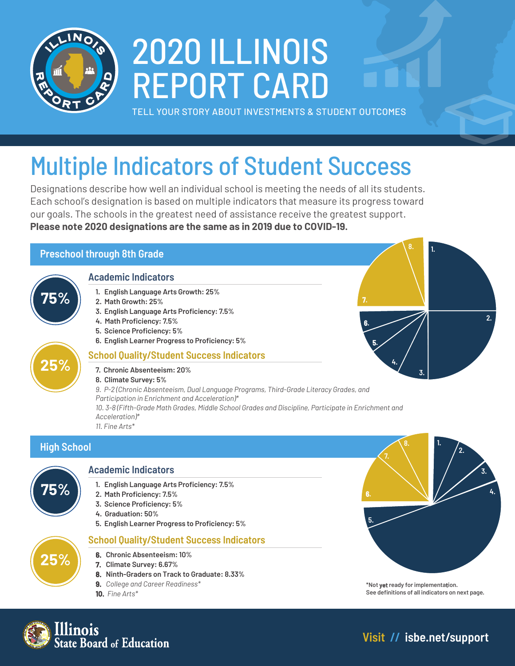

# 2020 ILLINOIS REPORT CARD

TELL YOUR STORY ABOUT INVESTMENTS & STUDENT OUTCOMES

## Multiple Indicators of Student Success

Designations describe how well an individual school is meeting the needs of all its students. Each school's designation is based on multiple indicators that measure its progress toward our goals. The schools in the greatest need of assistance receive the greatest support. **Please note 2020 designations are the same as in 2019 due to COVID-19.**

#### **Preschool through 8th Grade**

#### **Academic Indicators**

- **1. English Language Arts Growth: 25%**
- **2. Math Growth: 25%**
- **3. English Language Arts Proficiency: 7.5%**
- **4. Math Proficiency: 7.5%**
- **5. Science Proficiency: 5%**
- **6. English Learner Progress to Proficiency: 5%**

#### **School Quality/Student Success Indicators**

- **7. Chronic Absenteeism: 20%**
- **8. Climate Survey: 5%**
- *9. P-2 (Chronic Absenteeism, Dual Language Programs, Third-Grade Literacy Grades, and Participation in Enrichment and Acceleration)\* 10. 3-8 (Fifth-Grade Math Grades, Middle School Grades and Discipline, Participate in Enrichment and*
- *Acceleration)\* 11. Fine Arts\**

#### **High School**

**75%**

**25%**



**25%**

#### **Academic Indicators**

- **1. English Language Arts Proficiency: 7.5%**
- **2. Math Proficiency: 7.5%**
- **3. Science Proficiency: 5%**
- **4. Graduation: 50%**
- **5. English Learner Progress to Proficiency: 5%**

#### **School Quality/Student Success Indicators**

- **6. Chronic Absenteeism: 10%**
	- **7. Climate Survey: 6.67%**
	- **8. Ninth-Graders on Track to Graduate: 8.33%**
	- **9.** *College and Career Readiness\**
	- **10.** *Fine Arts\**



**\*Not yet ready for implementation. See definitions of all indicators on next page.**



**Visit // [isbe.net/support](http://isbe.net/support)**